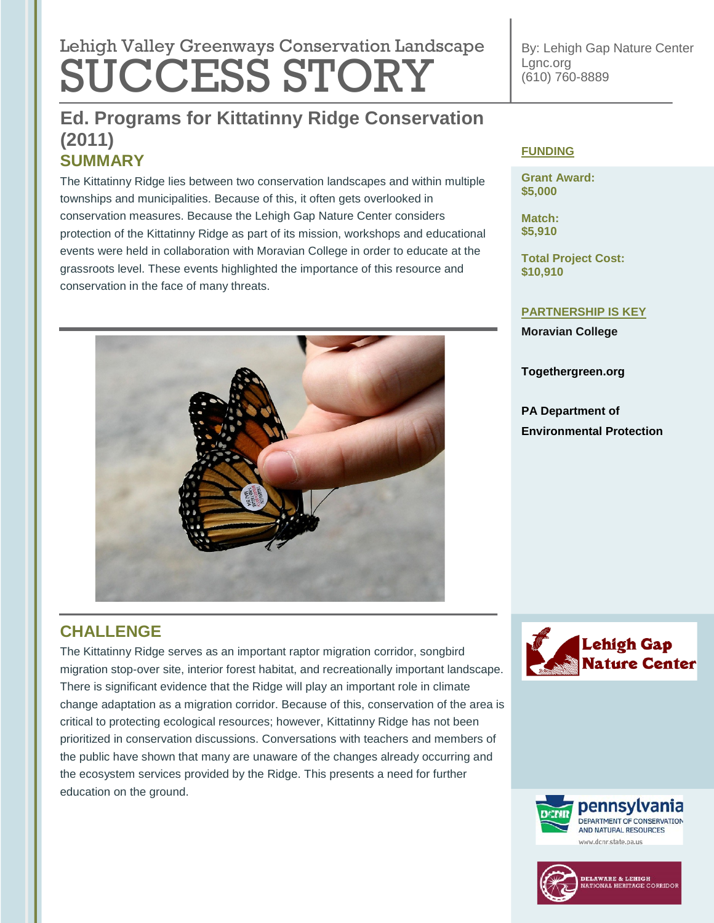# Lehigh Valley Greenways Conservation Landscape SUCCESS STORY

**SUMMARY Ed. Programs for Kittatinny Ridge Conservation (2011)**

The Kittatinny Ridge lies between two conservation landscapes and within multiple townships and municipalities. Because of this, it often gets overlooked in conservation measures. Because the Lehigh Gap Nature Center considers protection of the Kittatinny Ridge as part of its mission, workshops and educational events were held in collaboration with Moravian College in order to educate at the grassroots level. These events highlighted the importance of this resource and conservation in the face of many threats.



By: Lehigh Gap Nature Center Lgnc.org (610) 760-8889

## **FUNDING**

**Grant Award: \$5,000**

**Match: \$5,910**

**Total Project Cost: \$10,910**

### **PARTNERSHIP IS KEY**

**Moravian College**

**Togethergreen.org**

**PA Department of Environmental Protection**

# **CHALLENGE**

The Kittatinny Ridge serves as an important raptor migration corridor, songbird migration stop-over site, interior forest habitat, and recreationally important landscape. There is significant evidence that the Ridge will play an important role in climate change adaptation as a migration corridor. Because of this, conservation of the area is critical to protecting ecological resources; however, Kittatinny Ridge has not been prioritized in conservation discussions. Conversations with teachers and members of the public have shown that many are unaware of the changes already occurring and the ecosystem services provided by the Ridge. This presents a need for further education on the ground.